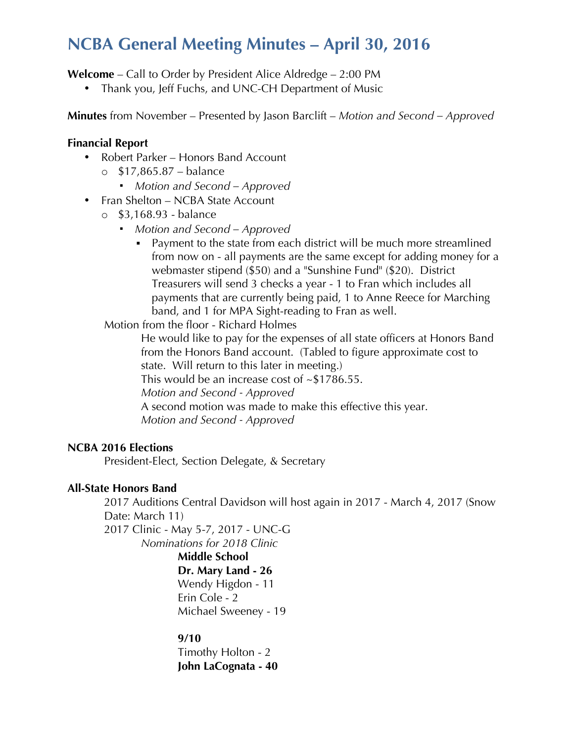# **NCBA General Meeting Minutes – April 30, 2016**

**Welcome** – Call to Order by President Alice Aldredge – 2:00 PM

• Thank you, Jeff Fuchs, and UNC-CH Department of Music

**Minutes** from November – Presented by Jason Barclift – *Motion and Second – Approved*

#### **Financial Report**

- Robert Parker Honors Band Account
	- o \$17,865.87 balance
		- *Motion and Second – Approved*
- Fran Shelton NCBA State Account
	- o \$3,168.93 balance
		- *Motion and Second – Approved*
			- Payment to the state from each district will be much more streamlined from now on - all payments are the same except for adding money for a webmaster stipend (\$50) and a "Sunshine Fund" (\$20). District Treasurers will send 3 checks a year - 1 to Fran which includes all payments that are currently being paid, 1 to Anne Reece for Marching band, and 1 for MPA Sight-reading to Fran as well.

Motion from the floor - Richard Holmes

He would like to pay for the expenses of all state officers at Honors Band from the Honors Band account. (Tabled to figure approximate cost to state. Will return to this later in meeting.)

This would be an increase cost of ~\$1786.55.

*Motion and Second - Approved*

A second motion was made to make this effective this year.

*Motion and Second - Approved*

#### **NCBA 2016 Elections**

President-Elect, Section Delegate, & Secretary

### **All-State Honors Band**

2017 Auditions Central Davidson will host again in 2017 - March 4, 2017 (Snow Date: March 11) 2017 Clinic - May 5-7, 2017 - UNC-G *Nominations for 2018 Clinic*

**Middle School Dr. Mary Land - 26** Wendy Higdon - 11 Erin Cole - 2 Michael Sweeney - 19

#### **9/10**

Timothy Holton - 2 **John LaCognata - 40**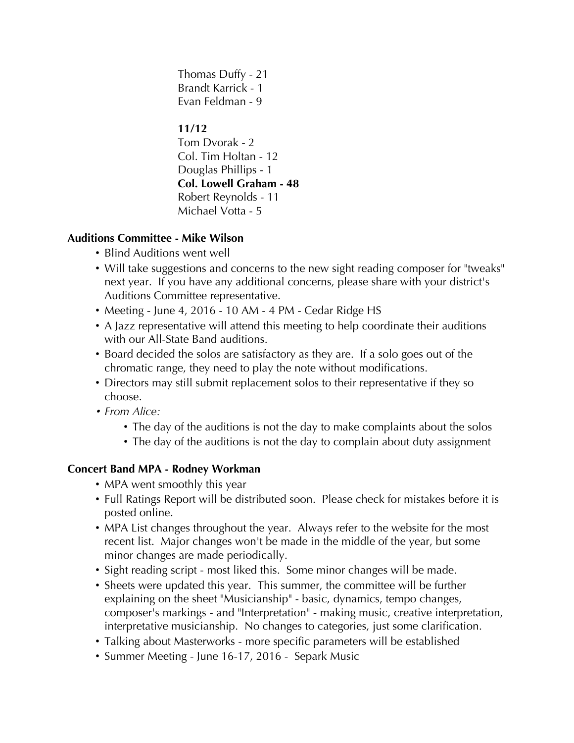Thomas Duffy - 21 Brandt Karrick - 1 Evan Feldman - 9

# **11/12**

Tom Dvorak - 2 Col. Tim Holtan - 12 Douglas Phillips - 1 **Col. Lowell Graham - 48** Robert Reynolds - 11 Michael Votta - 5

## **Auditions Committee - Mike Wilson**

- Blind Auditions went well
- Will take suggestions and concerns to the new sight reading composer for "tweaks" next year. If you have any additional concerns, please share with your district's Auditions Committee representative.
- Meeting June 4, 2016 10 AM 4 PM Cedar Ridge HS
- A Jazz representative will attend this meeting to help coordinate their auditions with our All-State Band auditions.
- Board decided the solos are satisfactory as they are. If a solo goes out of the chromatic range, they need to play the note without modifications.
- Directors may still submit replacement solos to their representative if they so choose.
- *From Alice:*
	- The day of the auditions is not the day to make complaints about the solos
	- The day of the auditions is not the day to complain about duty assignment

# **Concert Band MPA - Rodney Workman**

- MPA went smoothly this year
- Full Ratings Report will be distributed soon. Please check for mistakes before it is posted online.
- MPA List changes throughout the year. Always refer to the website for the most recent list. Major changes won't be made in the middle of the year, but some minor changes are made periodically.
- Sight reading script most liked this. Some minor changes will be made.
- Sheets were updated this year. This summer, the committee will be further explaining on the sheet "Musicianship" - basic, dynamics, tempo changes, composer's markings - and "Interpretation" - making music, creative interpretation, interpretative musicianship. No changes to categories, just some clarification.
- Talking about Masterworks more specific parameters will be established
- Summer Meeting June 16-17, 2016 Separk Music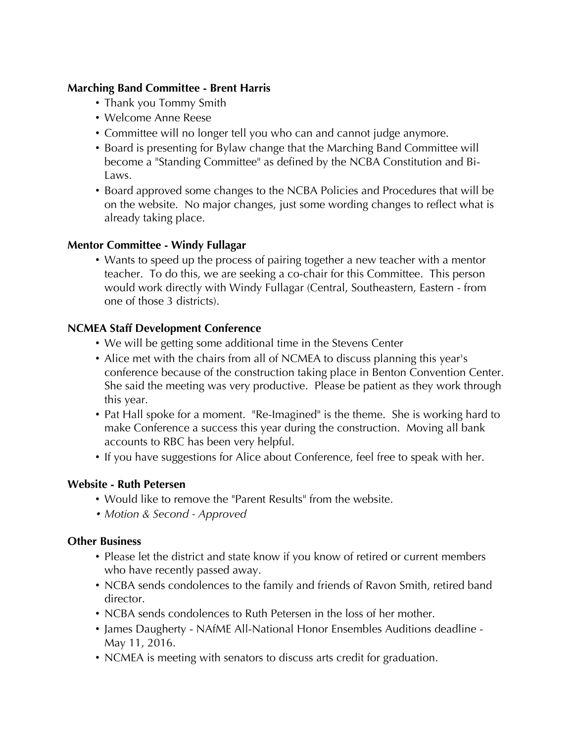### **Marching Band Committee - Brent Harris**

- Thank you Tommy Smith
- Welcome Anne Reese
- Committee will no longer tell you who can and cannot judge anymore.
- Board is presenting for Bylaw change that the Marching Band Committee will become a "Standing Committee" as defined by the NCBA Constitution and Bi-Laws.
- Board approved some changes to the NCBA Policies and Procedures that will be on the website. No major changes, just some wording changes to reflect what is already taking place.

#### **Mentor Committee - Windy Fullagar**

• Wants to speed up the process of pairing together a new teacher with a mentor teacher. To do this, we are seeking a co-chair for this Committee. This person would work directly with Windy Fullagar (Central, Southeastern, Eastern - from one of those 3 districts).

#### **NCMEA Staff Development Conference**

- We will be getting some additional time in the Stevens Center
- Alice met with the chairs from all of NCMEA to discuss planning this year's conference because of the construction taking place in Benton Convention Center. She said the meeting was very productive. Please be patient as they work through this year.
- Pat Hall spoke for a moment. "Re-Imagined" is the theme. She is working hard to make Conference a success this year during the construction. Moving all bank accounts to RBC has been very helpful.
- If you have suggestions for Alice about Conference, feel free to speak with her.

### **Website - Ruth Petersen**

- Would like to remove the "Parent Results" from the website.
- *Motion & Second - Approved*

#### **Other Business**

- Please let the district and state know if you know of retired or current members who have recently passed away.
- NCBA sends condolences to the family and friends of Ravon Smith, retired band director.
- NCBA sends condolences to Ruth Petersen in the loss of her mother.
- James Daugherty NAfME All-National Honor Ensembles Auditions deadline May 11, 2016.
- NCMEA is meeting with senators to discuss arts credit for graduation.